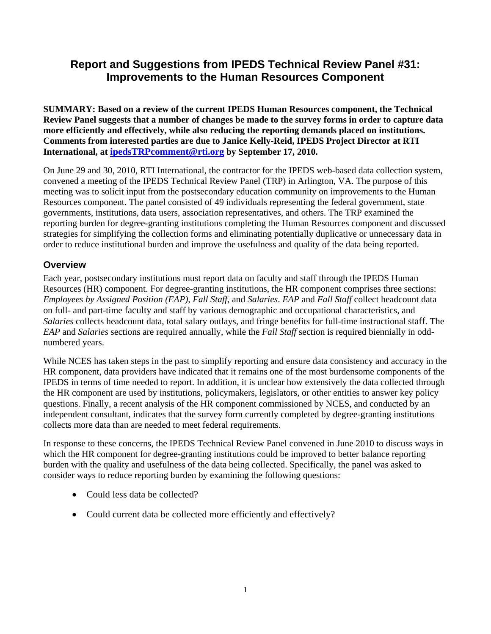# **Report and Suggestions from IPEDS Technical Review Panel #31: Improvements to the Human Resources Component**

**SUMMARY: Based on a review of the current IPEDS Human Resources component, the Technical Review Panel suggests that a number of changes be made to the survey forms in order to capture data more efficiently and effectively, while also reducing the reporting demands placed on institutions. Comments from interested parties are due to Janice Kelly-Reid, IPEDS Project Director at RTI International, at ipedsTRPcomment@rti.org by September 17, 2010.** 

On June 29 and 30, 2010, RTI International, the contractor for the IPEDS web-based data collection system, convened a meeting of the IPEDS Technical Review Panel (TRP) in Arlington, VA. The purpose of this meeting was to solicit input from the postsecondary education community on improvements to the Human Resources component. The panel consisted of 49 individuals representing the federal government, state governments, institutions, data users, association representatives, and others. The TRP examined the reporting burden for degree-granting institutions completing the Human Resources component and discussed strategies for simplifying the collection forms and eliminating potentially duplicative or unnecessary data in order to reduce institutional burden and improve the usefulness and quality of the data being reported.

# **Overview**

Each year, postsecondary institutions must report data on faculty and staff through the IPEDS Human Resources (HR) component. For degree-granting institutions, the HR component comprises three sections: *Employees by Assigned Position (EAP)*, *Fall Staff*, and *Salaries*. *EAP* and *Fall Staff* collect headcount data on full- and part-time faculty and staff by various demographic and occupational characteristics, and *Salaries* collects headcount data, total salary outlays, and fringe benefits for full-time instructional staff. The *EAP* and *Salaries* sections are required annually, while the *Fall Staff* section is required biennially in oddnumbered years.

While NCES has taken steps in the past to simplify reporting and ensure data consistency and accuracy in the HR component, data providers have indicated that it remains one of the most burdensome components of the IPEDS in terms of time needed to report. In addition, it is unclear how extensively the data collected through the HR component are used by institutions, policymakers, legislators, or other entities to answer key policy questions. Finally, a recent analysis of the HR component commissioned by NCES, and conducted by an independent consultant, indicates that the survey form currently completed by degree-granting institutions collects more data than are needed to meet federal requirements.

In response to these concerns, the IPEDS Technical Review Panel convened in June 2010 to discuss ways in which the HR component for degree-granting institutions could be improved to better balance reporting burden with the quality and usefulness of the data being collected. Specifically, the panel was asked to consider ways to reduce reporting burden by examining the following questions:

- Could less data be collected?
- Could current data be collected more efficiently and effectively?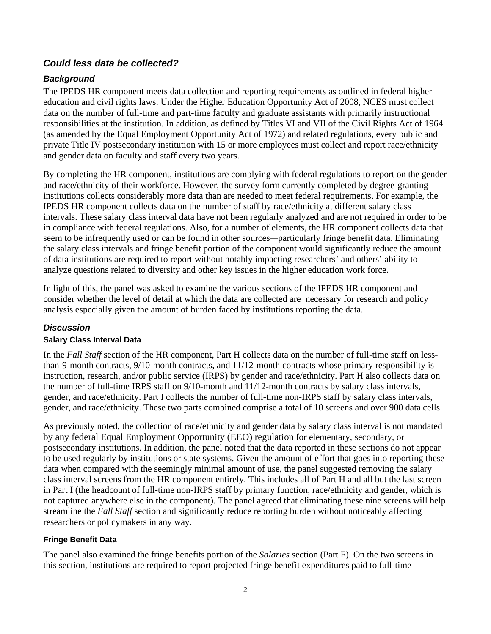# *Could less data be collected?*

# *Background*

The IPEDS HR component meets data collection and reporting requirements as outlined in federal higher education and civil rights laws. Under the Higher Education Opportunity Act of 2008, NCES must collect data on the number of full-time and part-time faculty and graduate assistants with primarily instructional responsibilities at the institution. In addition, as defined by Titles VI and VII of the Civil Rights Act of 1964 (as amended by the Equal Employment Opportunity Act of 1972) and related regulations, every public and private Title IV postsecondary institution with 15 or more employees must collect and report race/ethnicity and gender data on faculty and staff every two years.

By completing the HR component, institutions are complying with federal regulations to report on the gender and race/ethnicity of their workforce. However, the survey form currently completed by degree-granting institutions collects considerably more data than are needed to meet federal requirements. For example, the IPEDS HR component collects data on the number of staff by race/ethnicity at different salary class intervals. These salary class interval data have not been regularly analyzed and are not required in order to be in compliance with federal regulations. Also, for a number of elements, the HR component collects data that seem to be infrequently used or can be found in other sources*—*particularly fringe benefit data. Eliminating the salary class intervals and fringe benefit portion of the component would significantly reduce the amount of data institutions are required to report without notably impacting researchers' and others' ability to analyze questions related to diversity and other key issues in the higher education work force.

In light of this, the panel was asked to examine the various sections of the IPEDS HR component and consider whether the level of detail at which the data are collected are necessary for research and policy analysis especially given the amount of burden faced by institutions reporting the data.

# *Discussion*

### **Salary Class Interval Data**

In the *Fall Staff* section of the HR component, Part H collects data on the number of full-time staff on lessthan-9-month contracts, 9/10-month contracts, and 11/12-month contracts whose primary responsibility is instruction, research, and/or public service (IRPS) by gender and race/ethnicity. Part H also collects data on the number of full-time IRPS staff on 9/10-month and 11/12-month contracts by salary class intervals, gender, and race/ethnicity. Part I collects the number of full-time non-IRPS staff by salary class intervals, gender, and race/ethnicity. These two parts combined comprise a total of 10 screens and over 900 data cells.

As previously noted, the collection of race/ethnicity and gender data by salary class interval is not mandated by any federal Equal Employment Opportunity (EEO) regulation for elementary, secondary, or postsecondary institutions. In addition, the panel noted that the data reported in these sections do not appear to be used regularly by institutions or state systems. Given the amount of effort that goes into reporting these data when compared with the seemingly minimal amount of use, the panel suggested removing the salary class interval screens from the HR component entirely. This includes all of Part H and all but the last screen in Part I (the headcount of full-time non-IRPS staff by primary function, race/ethnicity and gender, which is not captured anywhere else in the component). The panel agreed that eliminating these nine screens will help streamline the *Fall Staff* section and significantly reduce reporting burden without noticeably affecting researchers or policymakers in any way.

### **Fringe Benefit Data**

The panel also examined the fringe benefits portion of the *Salaries* section (Part F). On the two screens in this section, institutions are required to report projected fringe benefit expenditures paid to full-time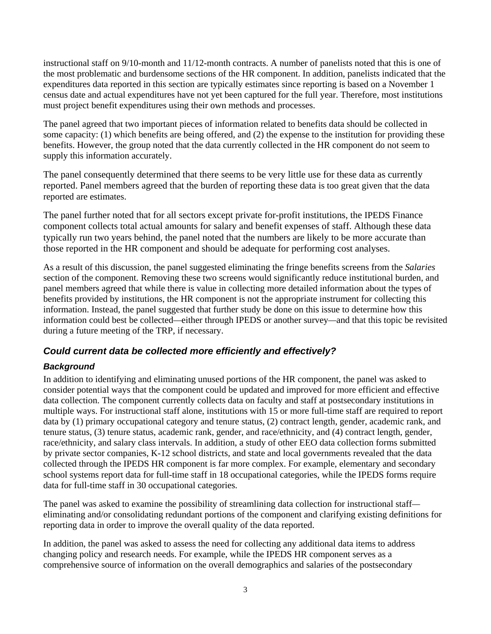instructional staff on 9/10-month and 11/12-month contracts. A number of panelists noted that this is one of the most problematic and burdensome sections of the HR component. In addition, panelists indicated that the expenditures data reported in this section are typically estimates since reporting is based on a November 1 census date and actual expenditures have not yet been captured for the full year. Therefore, most institutions must project benefit expenditures using their own methods and processes.

The panel agreed that two important pieces of information related to benefits data should be collected in some capacity: (1) which benefits are being offered, and (2) the expense to the institution for providing these benefits. However, the group noted that the data currently collected in the HR component do not seem to supply this information accurately.

The panel consequently determined that there seems to be very little use for these data as currently reported. Panel members agreed that the burden of reporting these data is too great given that the data reported are estimates.

The panel further noted that for all sectors except private for-profit institutions, the IPEDS Finance component collects total actual amounts for salary and benefit expenses of staff. Although these data typically run two years behind, the panel noted that the numbers are likely to be more accurate than those reported in the HR component and should be adequate for performing cost analyses.

As a result of this discussion, the panel suggested eliminating the fringe benefits screens from the *Salaries*  section of the component. Removing these two screens would significantly reduce institutional burden, and panel members agreed that while there is value in collecting more detailed information about the types of benefits provided by institutions, the HR component is not the appropriate instrument for collecting this information. Instead, the panel suggested that further study be done on this issue to determine how this information could best be collected*—*either through IPEDS or another survey*—*and that this topic be revisited during a future meeting of the TRP, if necessary.

# *Could current data be collected more efficiently and effectively?*

# *Background*

In addition to identifying and eliminating unused portions of the HR component, the panel was asked to consider potential ways that the component could be updated and improved for more efficient and effective data collection. The component currently collects data on faculty and staff at postsecondary institutions in multiple ways. For instructional staff alone, institutions with 15 or more full-time staff are required to report data by (1) primary occupational category and tenure status, (2) contract length, gender, academic rank, and tenure status, (3) tenure status, academic rank, gender, and race/ethnicity, and (4) contract length, gender, race/ethnicity, and salary class intervals. In addition, a study of other EEO data collection forms submitted by private sector companies, K-12 school districts, and state and local governments revealed that the data collected through the IPEDS HR component is far more complex. For example, elementary and secondary school systems report data for full-time staff in 18 occupational categories, while the IPEDS forms require data for full-time staff in 30 occupational categories.

The panel was asked to examine the possibility of streamlining data collection for instructional staff eliminating and/or consolidating redundant portions of the component and clarifying existing definitions for reporting data in order to improve the overall quality of the data reported.

In addition, the panel was asked to assess the need for collecting any additional data items to address changing policy and research needs. For example, while the IPEDS HR component serves as a comprehensive source of information on the overall demographics and salaries of the postsecondary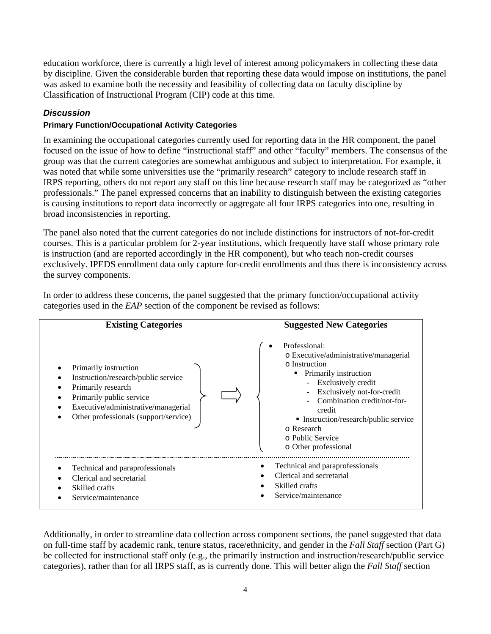education workforce, there is currently a high level of interest among policymakers in collecting these data by discipline. Given the considerable burden that reporting these data would impose on institutions, the panel was asked to examine both the necessity and feasibility of collecting data on faculty discipline by Classification of Instructional Program (CIP) code at this time.

### *Discussion*

### **Primary Function/Occupational Activity Categories**

In examining the occupational categories currently used for reporting data in the HR component, the panel focused on the issue of how to define "instructional staff" and other "faculty" members. The consensus of the group was that the current categories are somewhat ambiguous and subject to interpretation. For example, it was noted that while some universities use the "primarily research" category to include research staff in IRPS reporting, others do not report any staff on this line because research staff may be categorized as "other professionals." The panel expressed concerns that an inability to distinguish between the existing categories is causing institutions to report data incorrectly or aggregate all four IRPS categories into one, resulting in broad inconsistencies in reporting.

The panel also noted that the current categories do not include distinctions for instructors of not-for-credit courses. This is a particular problem for 2-year institutions, which frequently have staff whose primary role is instruction (and are reported accordingly in the HR component), but who teach non-credit courses exclusively. IPEDS enrollment data only capture for-credit enrollments and thus there is inconsistency across the survey components.



In order to address these concerns, the panel suggested that the primary function/occupational activity categories used in the *EAP* section of the component be revised as follows:

Additionally, in order to streamline data collection across component sections, the panel suggested that data on full-time staff by academic rank, tenure status, race/ethnicity, and gender in the *Fall Staff* section (Part G) be collected for instructional staff only (e.g., the primarily instruction and instruction/research/public service categories), rather than for all IRPS staff, as is currently done. This will better align the *Fall Staff* section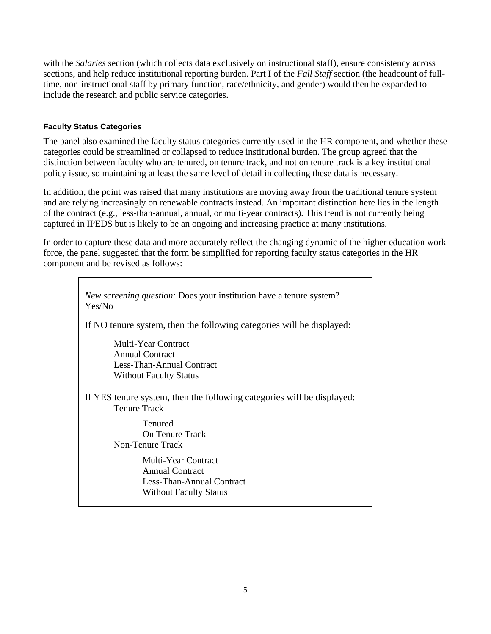with the *Salaries* section (which collects data exclusively on instructional staff), ensure consistency across sections, and help reduce institutional reporting burden. Part I of the *Fall Staff* section (the headcount of fulltime, non-instructional staff by primary function, race/ethnicity, and gender) would then be expanded to include the research and public service categories.

#### **Faculty Status Categories**

The panel also examined the faculty status categories currently used in the HR component, and whether these categories could be streamlined or collapsed to reduce institutional burden. The group agreed that the distinction between faculty who are tenured, on tenure track, and not on tenure track is a key institutional policy issue, so maintaining at least the same level of detail in collecting these data is necessary.

In addition, the point was raised that many institutions are moving away from the traditional tenure system and are relying increasingly on renewable contracts instead. An important distinction here lies in the length of the contract (e.g., less-than-annual, annual, or multi-year contracts). This trend is not currently being captured in IPEDS but is likely to be an ongoing and increasing practice at many institutions.

In order to capture these data and more accurately reflect the changing dynamic of the higher education work force, the panel suggested that the form be simplified for reporting faculty status categories in the HR component and be revised as follows:

| <i>New screening question:</i> Does your institution have a tenure system?<br>Yes/No                        |
|-------------------------------------------------------------------------------------------------------------|
| If NO tenure system, then the following categories will be displayed:                                       |
| <b>Multi-Year Contract</b><br>Annual Contract<br>Less-Than-Annual Contract<br><b>Without Faculty Status</b> |
| If YES tenure system, then the following categories will be displayed:<br><b>Tenure Track</b>               |
| Tenured<br><b>On Tenure Track</b><br>Non-Tenure Track                                                       |
| <b>Multi-Year Contract</b><br>Annual Contract<br>Less-Than-Annual Contract<br><b>Without Faculty Status</b> |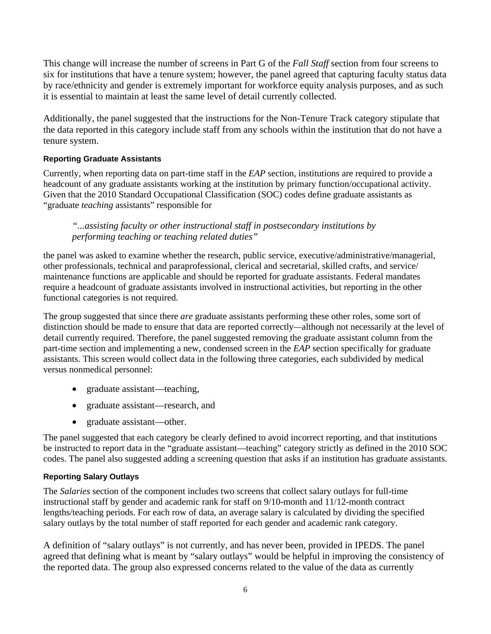This change will increase the number of screens in Part G of the *Fall Staff* section from four screens to six for institutions that have a tenure system; however, the panel agreed that capturing faculty status data by race/ethnicity and gender is extremely important for workforce equity analysis purposes, and as such it is essential to maintain at least the same level of detail currently collected.

Additionally, the panel suggested that the instructions for the Non-Tenure Track category stipulate that the data reported in this category include staff from any schools within the institution that do not have a tenure system.

### **Reporting Graduate Assistants**

Currently, when reporting data on part-time staff in the *EAP* section, institutions are required to provide a headcount of any graduate assistants working at the institution by primary function/occupational activity. Given that the 2010 Standard Occupational Classification (SOC) codes define graduate assistants as "graduate *teaching* assistants" responsible for

*"...assisting faculty or other instructional staff in postsecondary institutions by performing teaching or teaching related duties"* 

the panel was asked to examine whether the research, public service, executive/administrative/managerial, other professionals, technical and paraprofessional, clerical and secretarial, skilled crafts, and service/ maintenance functions are applicable and should be reported for graduate assistants. Federal mandates require a headcount of graduate assistants involved in instructional activities, but reporting in the other functional categories is not required.

The group suggested that since there *are* graduate assistants performing these other roles, some sort of distinction should be made to ensure that data are reported correctly*—*although not necessarily at the level of detail currently required. Therefore, the panel suggested removing the graduate assistant column from the part-time section and implementing a new, condensed screen in the *EAP* section specifically for graduate assistants. This screen would collect data in the following three categories, each subdivided by medical versus nonmedical personnel:

- graduate assistant—teaching,
- graduate assistant—research, and
- graduate assistant—other.

The panel suggested that each category be clearly defined to avoid incorrect reporting, and that institutions be instructed to report data in the "graduate assistant—teaching" category strictly as defined in the 2010 SOC codes. The panel also suggested adding a screening question that asks if an institution has graduate assistants.

### **Reporting Salary Outlays**

The *Salaries* section of the component includes two screens that collect salary outlays for full-time instructional staff by gender and academic rank for staff on 9/10-month and 11/12-month contract lengths/teaching periods. For each row of data, an average salary is calculated by dividing the specified salary outlays by the total number of staff reported for each gender and academic rank category.

A definition of "salary outlays" is not currently, and has never been, provided in IPEDS. The panel agreed that defining what is meant by "salary outlays" would be helpful in improving the consistency of the reported data. The group also expressed concerns related to the value of the data as currently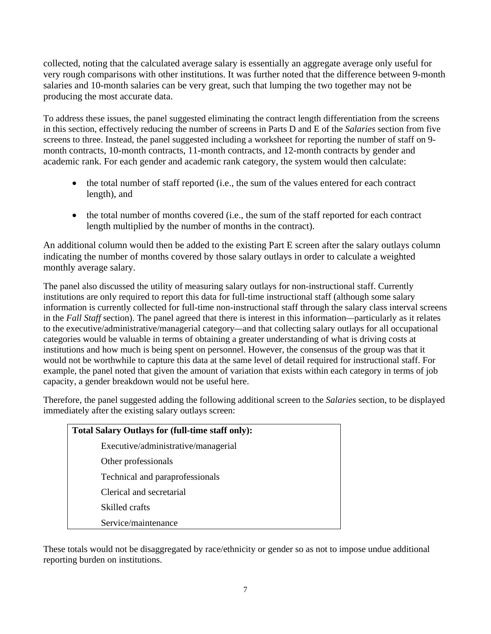collected, noting that the calculated average salary is essentially an aggregate average only useful for very rough comparisons with other institutions. It was further noted that the difference between 9-month salaries and 10-month salaries can be very great, such that lumping the two together may not be producing the most accurate data.

To address these issues, the panel suggested eliminating the contract length differentiation from the screens in this section, effectively reducing the number of screens in Parts D and E of the *Salaries* section from five screens to three. Instead, the panel suggested including a worksheet for reporting the number of staff on 9 month contracts, 10-month contracts, 11-month contracts, and 12-month contracts by gender and academic rank. For each gender and academic rank category, the system would then calculate:

- the total number of staff reported (i.e., the sum of the values entered for each contract length), and
- the total number of months covered (i.e., the sum of the staff reported for each contract length multiplied by the number of months in the contract).

An additional column would then be added to the existing Part E screen after the salary outlays column indicating the number of months covered by those salary outlays in order to calculate a weighted monthly average salary.

The panel also discussed the utility of measuring salary outlays for non-instructional staff. Currently institutions are only required to report this data for full-time instructional staff (although some salary information is currently collected for full-time non-instructional staff through the salary class interval screens in the *Fall Staff* section). The panel agreed that there is interest in this information*—*particularly as it relates to the executive/administrative/managerial category*—*and that collecting salary outlays for all occupational categories would be valuable in terms of obtaining a greater understanding of what is driving costs at institutions and how much is being spent on personnel. However, the consensus of the group was that it would not be worthwhile to capture this data at the same level of detail required for instructional staff. For example, the panel noted that given the amount of variation that exists within each category in terms of job capacity, a gender breakdown would not be useful here.

Therefore, the panel suggested adding the following additional screen to the *Salaries* section, to be displayed immediately after the existing salary outlays screen:

| <b>Total Salary Outlays for (full-time staff only):</b> |  |
|---------------------------------------------------------|--|
| Executive/administrative/managerial                     |  |
| Other professionals                                     |  |
| Technical and paraprofessionals                         |  |
| Clerical and secretarial                                |  |
| Skilled crafts                                          |  |
| Service/maintenance                                     |  |

These totals would not be disaggregated by race/ethnicity or gender so as not to impose undue additional reporting burden on institutions.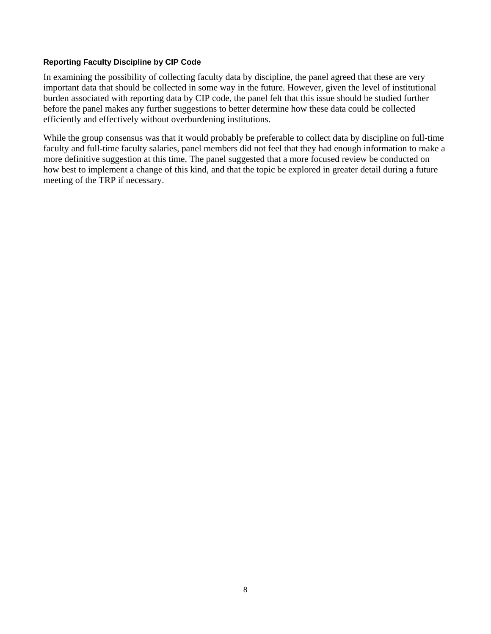#### **Reporting Faculty Discipline by CIP Code**

In examining the possibility of collecting faculty data by discipline, the panel agreed that these are very important data that should be collected in some way in the future. However, given the level of institutional burden associated with reporting data by CIP code, the panel felt that this issue should be studied further before the panel makes any further suggestions to better determine how these data could be collected efficiently and effectively without overburdening institutions.

While the group consensus was that it would probably be preferable to collect data by discipline on full-time faculty and full-time faculty salaries, panel members did not feel that they had enough information to make a more definitive suggestion at this time. The panel suggested that a more focused review be conducted on how best to implement a change of this kind, and that the topic be explored in greater detail during a future meeting of the TRP if necessary.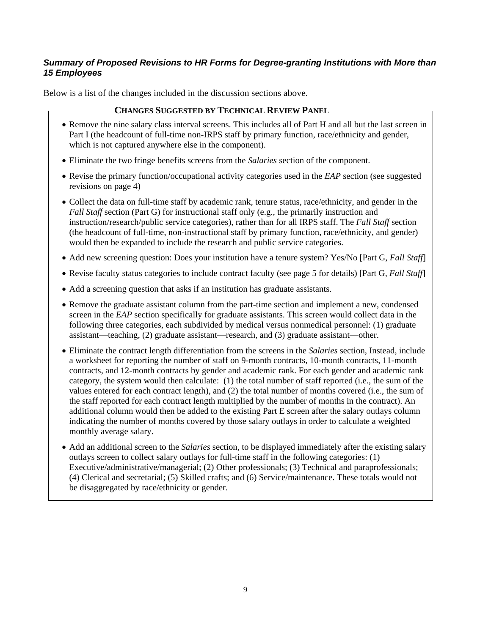### *Summary of Proposed Revisions to HR Forms for Degree-granting Institutions with More than 15 Employees*

Below is a list of the changes included in the discussion sections above.

### **CHANGES SUGGESTED BY TECHNICAL REVIEW PANEL**

- Remove the nine salary class interval screens. This includes all of Part H and all but the last screen in Part I (the headcount of full-time non-IRPS staff by primary function, race/ethnicity and gender, which is not captured anywhere else in the component).
- Eliminate the two fringe benefits screens from the *Salaries* section of the component.
- Revise the primary function/occupational activity categories used in the *EAP* section (see suggested revisions on page 4)
- Collect the data on full-time staff by academic rank, tenure status, race/ethnicity, and gender in the *Fall Staff* section (Part G) for instructional staff only (e.g., the primarily instruction and instruction/research/public service categories), rather than for all IRPS staff. The *Fall Staff* section (the headcount of full-time, non-instructional staff by primary function, race/ethnicity, and gender) would then be expanded to include the research and public service categories.
- Add new screening question: Does your institution have a tenure system? Yes/No [Part G, *Fall Staff*]
- Revise faculty status categories to include contract faculty (see page 5 for details) [Part G, *Fall Staff*]
- Add a screening question that asks if an institution has graduate assistants.
- Remove the graduate assistant column from the part-time section and implement a new, condensed screen in the *EAP* section specifically for graduate assistants. This screen would collect data in the following three categories, each subdivided by medical versus nonmedical personnel: (1) graduate assistant—teaching, (2) graduate assistant—research, and (3) graduate assistant—other.
- Eliminate the contract length differentiation from the screens in the *Salaries* section, Instead, include a worksheet for reporting the number of staff on 9-month contracts, 10-month contracts, 11-month contracts, and 12-month contracts by gender and academic rank. For each gender and academic rank category, the system would then calculate: (1) the total number of staff reported (i.e., the sum of the values entered for each contract length), and (2) the total number of months covered (i.e., the sum of the staff reported for each contract length multiplied by the number of months in the contract). An additional column would then be added to the existing Part E screen after the salary outlays column indicating the number of months covered by those salary outlays in order to calculate a weighted monthly average salary.
- Add an additional screen to the *Salaries* section, to be displayed immediately after the existing salary outlays screen to collect salary outlays for full-time staff in the following categories: (1) Executive/administrative/managerial; (2) Other professionals; (3) Technical and paraprofessionals; (4) Clerical and secretarial; (5) Skilled crafts; and (6) Service/maintenance. These totals would not be disaggregated by race/ethnicity or gender.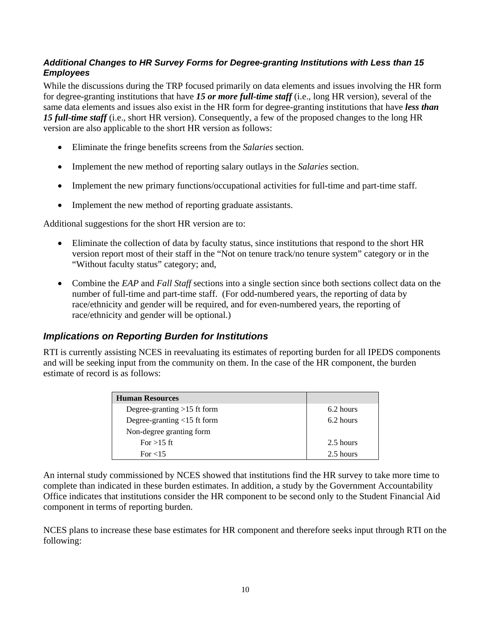### *Additional Changes to HR Survey Forms for Degree-granting Institutions with Less than 15 Employees*

While the discussions during the TRP focused primarily on data elements and issues involving the HR form for degree-granting institutions that have *15 or more full-time staff* (i.e., long HR version), several of the same data elements and issues also exist in the HR form for degree-granting institutions that have *less than 15 full-time staff* (i.e., short HR version). Consequently, a few of the proposed changes to the long HR version are also applicable to the short HR version as follows:

- Eliminate the fringe benefits screens from the *Salaries* section.
- Implement the new method of reporting salary outlays in the *Salaries* section.
- Implement the new primary functions/occupational activities for full-time and part-time staff.
- Implement the new method of reporting graduate assistants.

Additional suggestions for the short HR version are to:

- Eliminate the collection of data by faculty status, since institutions that respond to the short HR version report most of their staff in the "Not on tenure track/no tenure system" category or in the "Without faculty status" category; and,
- Combine the *EAP* and *Fall Staff* sections into a single section since both sections collect data on the number of full-time and part-time staff. (For odd-numbered years, the reporting of data by race/ethnicity and gender will be required, and for even-numbered years, the reporting of race/ethnicity and gender will be optional.)

# *Implications on Reporting Burden for Institutions*

RTI is currently assisting NCES in reevaluating its estimates of reporting burden for all IPEDS components and will be seeking input from the community on them. In the case of the HR component, the burden estimate of record is as follows:

| <b>Human Resources</b>        |           |
|-------------------------------|-----------|
| Degree-granting $>15$ ft form | 6.2 hours |
| Degree-granting <15 ft form   | 6.2 hours |
| Non-degree granting form      |           |
| For $>15$ ft                  | 2.5 hours |
| For $<$ 15                    | 2.5 hours |

An internal study commissioned by NCES showed that institutions find the HR survey to take more time to complete than indicated in these burden estimates. In addition, a study by the Government Accountability Office indicates that institutions consider the HR component to be second only to the Student Financial Aid component in terms of reporting burden.

NCES plans to increase these base estimates for HR component and therefore seeks input through RTI on the following: